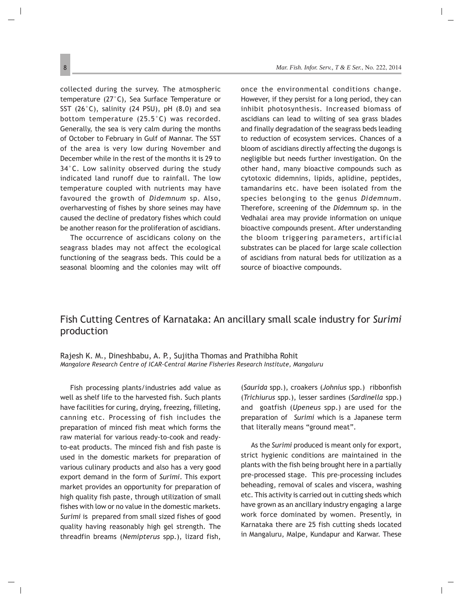## Fish Cutting Centres of Karnataka: An ancillary small scale industry for *Surimi* production

Rajesh K. M., Dineshbabu, A. P., Sujitha Thomas and Prathibha Rohit *Mangalore Research Centre of ICAR-Central Marine Fisheries Research Institute, Mangaluru*

Fish processing plants/industries add value as well as shelf life to the harvested fish. Such plants have facilities for curing, drying, freezing, filleting, canning etc. Processing of fish includes the preparation of minced fish meat which forms the raw material for various ready-to-cook and readyto-eat products. The minced fish and fish paste is used in the domestic markets for preparation of various culinary products and also has a very good export demand in the form of *Surimi*. This export market provides an opportunity for preparation of high quality fish paste, through utilization of small fishes with low or no value in the domestic markets. *Surimi* is prepared from small sized fishes of good quality having reasonably high gel strength. The threadfin breams (*Nemipterus* spp.), lizard fish,

(*Saurida* spp.), croakers (*Johnius* spp.) ribbonfish (*Trichiurus* spp.), lesser sardines (*Sardinella* spp.) and goatfish (*Upeneus* spp.) are used for the preparation of *Surimi* which is a Japanese term that literally means "ground meat".

As the *Surimi* produced is meant only for export, strict hygienic conditions are maintained in the plants with the fish being brought here in a partially pre-processed stage. This pre-processing includes beheading, removal of scales and viscera, washing etc. This activity is carried out in cutting sheds which have grown as an ancillary industry engaging a large work force dominated by women. Presently, in Karnataka there are 25 fish cutting sheds located in Mangaluru, Malpe, Kundapur and Karwar. These